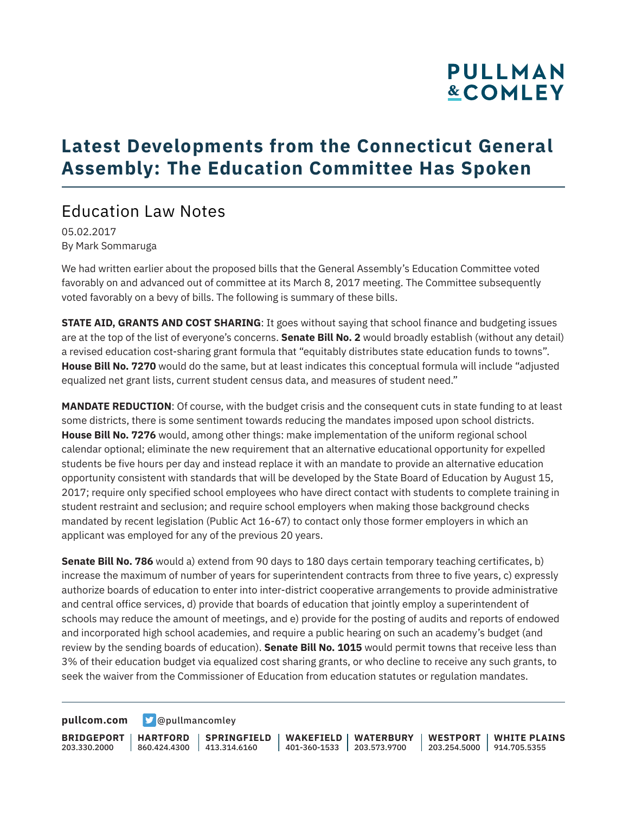### **Latest Developments from the Connecticut General Assembly: The Education Committee Has Spoken**

#### Education Law Notes

05.02.2017 By Mark Sommaruga

We had written earlier about the proposed bills that the General Assembly's Education Committee voted favorably on and advanced out of committee at its March 8, 2017 meeting. The Committee subsequently voted favorably on a bevy of bills. The following is summary of these bills.

**STATE AID, GRANTS AND COST SHARING**: It goes without saying that school finance and budgeting issues are at the top of the list of everyone's concerns. **Senate Bill No. 2** would broadly establish (without any detail) a revised education cost-sharing grant formula that "equitably distributes state education funds to towns". **House Bill No. 7270** would do the same, but at least indicates this conceptual formula will include "adjusted equalized net grant lists, current student census data, and measures of student need."

**MANDATE REDUCTION**: Of course, with the budget crisis and the consequent cuts in state funding to at least some districts, there is some sentiment towards reducing the mandates imposed upon school districts. **House Bill No. 7276** would, among other things: make implementation of the uniform regional school calendar optional; eliminate the new requirement that an alternative educational opportunity for expelled students be five hours per day and instead replace it with an mandate to provide an alternative education opportunity consistent with standards that will be developed by the State Board of Education by August 15, 2017; require only specified school employees who have direct contact with students to complete training in student restraint and seclusion; and require school employers when making those background checks mandated by recent legislation (Public Act 16-67) to contact only those former employers in which an applicant was employed for any of the previous 20 years.

**Senate Bill No. 786** would a) extend from 90 days to 180 days certain temporary teaching certificates, b) increase the maximum of number of years for superintendent contracts from three to five years, c) expressly authorize boards of education to enter into inter-district cooperative arrangements to provide administrative and central office services, d) provide that boards of education that jointly employ a superintendent of schools may reduce the amount of meetings, and e) provide for the posting of audits and reports of endowed and incorporated high school academies, and require a public hearing on such an academy's budget (and review by the sending boards of education). **Senate Bill No. 1015** would permit towns that receive less than 3% of their education budget via equalized cost sharing grants, or who decline to receive any such grants, to seek the waiver from the Commissioner of Education from education statutes or regulation mandates.

**[pullcom.com](https://www.pullcom.com) g** [@pullmancomley](https://twitter.com/PullmanComley)

**BRIDGEPORT** 203.330.2000

**HARTFORD** 860.424.4300 413.314.6160 **SPRINGFIELD**

**WAKEFIELD WATERBURY** 401-360-1533 203.573.9700

**WESTPORT WHITE PLAINS** 203.254.5000 914.705.5355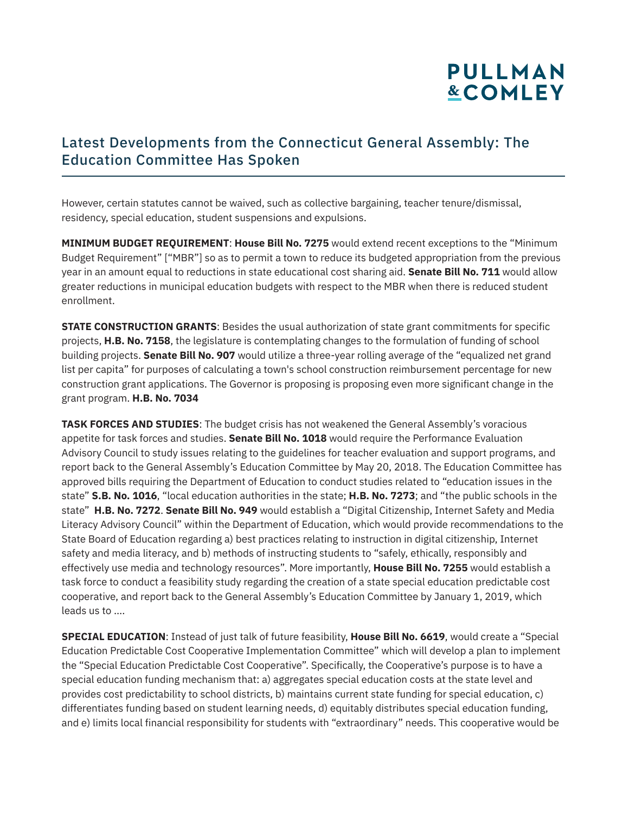#### Latest Developments from the Connecticut General Assembly: The Education Committee Has Spoken

However, certain statutes cannot be waived, such as collective bargaining, teacher tenure/dismissal, residency, special education, student suspensions and expulsions.

**MINIMUM BUDGET REQUIREMENT**: **House Bill No. 7275** would extend recent exceptions to the "Minimum Budget Requirement" ["MBR"] so as to permit a town to reduce its budgeted appropriation from the previous year in an amount equal to reductions in state educational cost sharing aid. **Senate Bill No. 711** would allow greater reductions in municipal education budgets with respect to the MBR when there is reduced student enrollment.

**STATE CONSTRUCTION GRANTS**: Besides the usual authorization of state grant commitments for specific projects, **H.B. No. 7158**, the legislature is contemplating changes to the formulation of funding of school building projects. **Senate Bill No. 907** would utilize a three-year rolling average of the "equalized net grand list per capita" for purposes of calculating a town's school construction reimbursement percentage for new construction grant applications. The Governor is proposing is proposing even more significant change in the grant program. **H.B. No. 7034**

**TASK FORCES AND STUDIES**: The budget crisis has not weakened the General Assembly's voracious appetite for task forces and studies. **Senate Bill No. 1018** would require the Performance Evaluation Advisory Council to study issues relating to the guidelines for teacher evaluation and support programs, and report back to the General Assembly's Education Committee by May 20, 2018. The Education Committee has approved bills requiring the Department of Education to conduct studies related to "education issues in the state" **S.B. No. 1016**, "local education authorities in the state; **H.B. No. 7273**; and "the public schools in the state" **H.B. No. 7272**. **Senate Bill No. 949** would establish a "Digital Citizenship, Internet Safety and Media Literacy Advisory Council" within the Department of Education, which would provide recommendations to the State Board of Education regarding a) best practices relating to instruction in digital citizenship, Internet safety and media literacy, and b) methods of instructing students to "safely, ethically, responsibly and effectively use media and technology resources". More importantly, **House Bill No. 7255** would establish a task force to conduct a feasibility study regarding the creation of a state special education predictable cost cooperative, and report back to the General Assembly's Education Committee by January 1, 2019, which leads us to ….

**SPECIAL EDUCATION**: Instead of just talk of future feasibility, **House Bill No. 6619**, would create a "Special Education Predictable Cost Cooperative Implementation Committee" which will develop a plan to implement the "Special Education Predictable Cost Cooperative". Specifically, the Cooperative's purpose is to have a special education funding mechanism that: a) aggregates special education costs at the state level and provides cost predictability to school districts, b) maintains current state funding for special education, c) differentiates funding based on student learning needs, d) equitably distributes special education funding, and e) limits local financial responsibility for students with "extraordinary" needs. This cooperative would be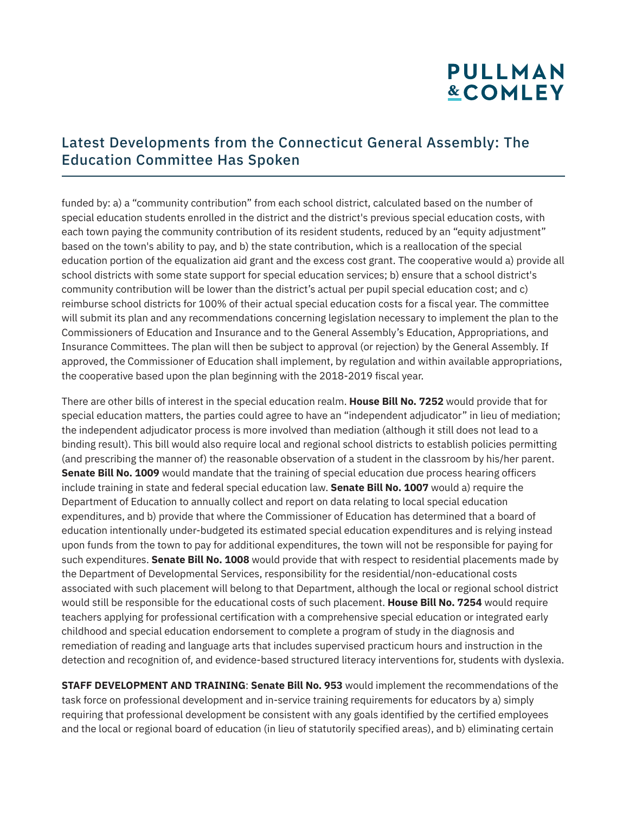#### Latest Developments from the Connecticut General Assembly: The Education Committee Has Spoken

funded by: a) a "community contribution" from each school district, calculated based on the number of special education students enrolled in the district and the district's previous special education costs, with each town paying the community contribution of its resident students, reduced by an "equity adjustment" based on the town's ability to pay, and b) the state contribution, which is a reallocation of the special education portion of the equalization aid grant and the excess cost grant. The cooperative would a) provide all school districts with some state support for special education services; b) ensure that a school district's community contribution will be lower than the district's actual per pupil special education cost; and c) reimburse school districts for 100% of their actual special education costs for a fiscal year. The committee will submit its plan and any recommendations concerning legislation necessary to implement the plan to the Commissioners of Education and Insurance and to the General Assembly's Education, Appropriations, and Insurance Committees. The plan will then be subject to approval (or rejection) by the General Assembly. If approved, the Commissioner of Education shall implement, by regulation and within available appropriations, the cooperative based upon the plan beginning with the 2018-2019 fiscal year.

There are other bills of interest in the special education realm. **House Bill No. 7252** would provide that for special education matters, the parties could agree to have an "independent adjudicator" in lieu of mediation; the independent adjudicator process is more involved than mediation (although it still does not lead to a binding result). This bill would also require local and regional school districts to establish policies permitting (and prescribing the manner of) the reasonable observation of a student in the classroom by his/her parent. **Senate Bill No. 1009** would mandate that the training of special education due process hearing officers include training in state and federal special education law. **Senate Bill No. 1007** would a) require the Department of Education to annually collect and report on data relating to local special education expenditures, and b) provide that where the Commissioner of Education has determined that a board of education intentionally under-budgeted its estimated special education expenditures and is relying instead upon funds from the town to pay for additional expenditures, the town will not be responsible for paying for such expenditures. **Senate Bill No. 1008** would provide that with respect to residential placements made by the Department of Developmental Services, responsibility for the residential/non-educational costs associated with such placement will belong to that Department, although the local or regional school district would still be responsible for the educational costs of such placement. **House Bill No. 7254** would require teachers applying for professional certification with a comprehensive special education or integrated early childhood and special education endorsement to complete a program of study in the diagnosis and remediation of reading and language arts that includes supervised practicum hours and instruction in the detection and recognition of, and evidence-based structured literacy interventions for, students with dyslexia.

**STAFF DEVELOPMENT AND TRAINING**: **Senate Bill No. 953** would implement the recommendations of the task force on professional development and in-service training requirements for educators by a) simply requiring that professional development be consistent with any goals identified by the certified employees and the local or regional board of education (in lieu of statutorily specified areas), and b) eliminating certain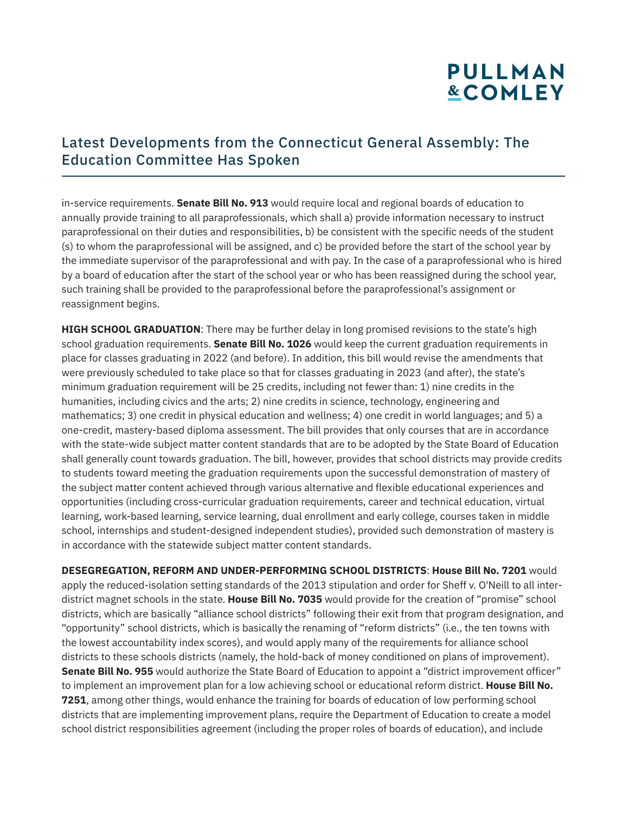#### Latest Developments from the Connecticut General Assembly: The Education Committee Has Spoken

in-service requirements. **Senate Bill No. 913** would require local and regional boards of education to annually provide training to all paraprofessionals, which shall a) provide information necessary to instruct paraprofessional on their duties and responsibilities, b) be consistent with the specific needs of the student (s) to whom the paraprofessional will be assigned, and c) be provided before the start of the school year by the immediate supervisor of the paraprofessional and with pay. In the case of a paraprofessional who is hired by a board of education after the start of the school year or who has been reassigned during the school year, such training shall be provided to the paraprofessional before the paraprofessional's assignment or reassignment begins.

**HIGH SCHOOL GRADUATION**: There may be further delay in long promised revisions to the state's high school graduation requirements. **Senate Bill No. 1026** would keep the current graduation requirements in place for classes graduating in 2022 (and before). In addition, this bill would revise the amendments that were previously scheduled to take place so that for classes graduating in 2023 (and after), the state's minimum graduation requirement will be 25 credits, including not fewer than: 1) nine credits in the humanities, including civics and the arts; 2) nine credits in science, technology, engineering and mathematics; 3) one credit in physical education and wellness; 4) one credit in world languages; and 5) a one-credit, mastery-based diploma assessment. The bill provides that only courses that are in accordance with the state-wide subject matter content standards that are to be adopted by the State Board of Education shall generally count towards graduation. The bill, however, provides that school districts may provide credits to students toward meeting the graduation requirements upon the successful demonstration of mastery of the subject matter content achieved through various alternative and flexible educational experiences and opportunities (including cross-curricular graduation requirements, career and technical education, virtual learning, work-based learning, service learning, dual enrollment and early college, courses taken in middle school, internships and student-designed independent studies), provided such demonstration of mastery is in accordance with the statewide subject matter content standards.

**DESEGREGATION, REFORM AND UNDER-PERFORMING SCHOOL DISTRICTS**: **House Bill No. 7201** would apply the reduced-isolation setting standards of the 2013 stipulation and order for Sheff v. O'Neill to all interdistrict magnet schools in the state. **House Bill No. 7035** would provide for the creation of "promise" school districts, which are basically "alliance school districts" following their exit from that program designation, and "opportunity" school districts, which is basically the renaming of "reform districts" (i.e., the ten towns with the lowest accountability index scores), and would apply many of the requirements for alliance school districts to these schools districts (namely, the hold-back of money conditioned on plans of improvement). **Senate Bill No. 955** would authorize the State Board of Education to appoint a "district improvement officer" to implement an improvement plan for a low achieving school or educational reform district. **House Bill No. 7251**, among other things, would enhance the training for boards of education of low performing school districts that are implementing improvement plans, require the Department of Education to create a model school district responsibilities agreement (including the proper roles of boards of education), and include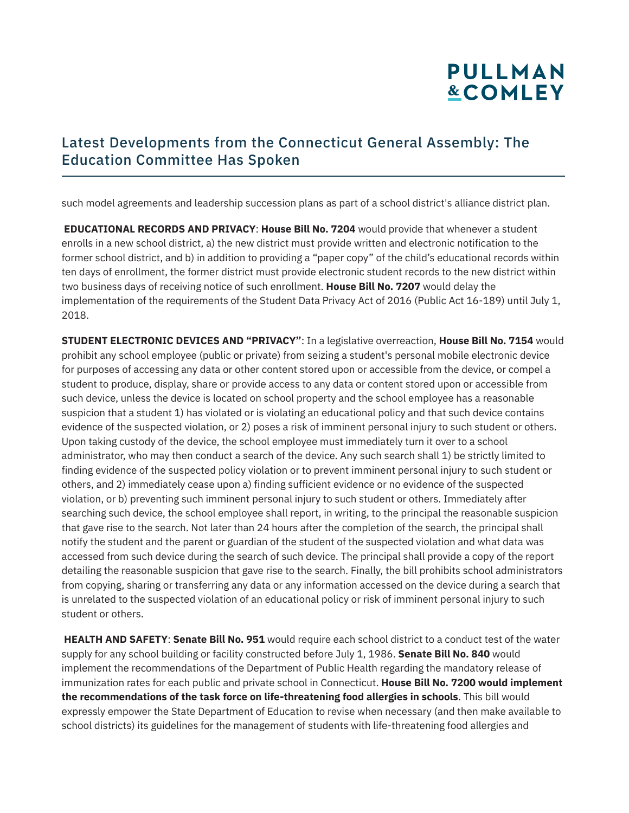#### Latest Developments from the Connecticut General Assembly: The Education Committee Has Spoken

such model agreements and leadership succession plans as part of a school district's alliance district plan.

 **EDUCATIONAL RECORDS AND PRIVACY**: **House Bill No. 7204** would provide that whenever a student enrolls in a new school district, a) the new district must provide written and electronic notification to the former school district, and b) in addition to providing a "paper copy" of the child's educational records within ten days of enrollment, the former district must provide electronic student records to the new district within two business days of receiving notice of such enrollment. **House Bill No. 7207** would delay the implementation of the requirements of the Student Data Privacy Act of 2016 (Public Act 16-189) until July 1, 2018.

**STUDENT ELECTRONIC DEVICES AND "PRIVACY"**: In a legislative overreaction, **House Bill No. 7154** would prohibit any school employee (public or private) from seizing a student's personal mobile electronic device for purposes of accessing any data or other content stored upon or accessible from the device, or compel a student to produce, display, share or provide access to any data or content stored upon or accessible from such device, unless the device is located on school property and the school employee has a reasonable suspicion that a student 1) has violated or is violating an educational policy and that such device contains evidence of the suspected violation, or 2) poses a risk of imminent personal injury to such student or others. Upon taking custody of the device, the school employee must immediately turn it over to a school administrator, who may then conduct a search of the device. Any such search shall 1) be strictly limited to finding evidence of the suspected policy violation or to prevent imminent personal injury to such student or others, and 2) immediately cease upon a) finding sufficient evidence or no evidence of the suspected violation, or b) preventing such imminent personal injury to such student or others. Immediately after searching such device, the school employee shall report, in writing, to the principal the reasonable suspicion that gave rise to the search. Not later than 24 hours after the completion of the search, the principal shall notify the student and the parent or guardian of the student of the suspected violation and what data was accessed from such device during the search of such device. The principal shall provide a copy of the report detailing the reasonable suspicion that gave rise to the search. Finally, the bill prohibits school administrators from copying, sharing or transferring any data or any information accessed on the device during a search that is unrelated to the suspected violation of an educational policy or risk of imminent personal injury to such student or others.

 **HEALTH AND SAFETY**: **Senate Bill No. 951** would require each school district to a conduct test of the water supply for any school building or facility constructed before July 1, 1986. **Senate Bill No. 840** would implement the recommendations of the Department of Public Health regarding the mandatory release of immunization rates for each public and private school in Connecticut. **House Bill No. 7200 would implement the recommendations of the task force on life-threatening food allergies in schools**. This bill would expressly empower the State Department of Education to revise when necessary (and then make available to school districts) its guidelines for the management of students with life-threatening food allergies and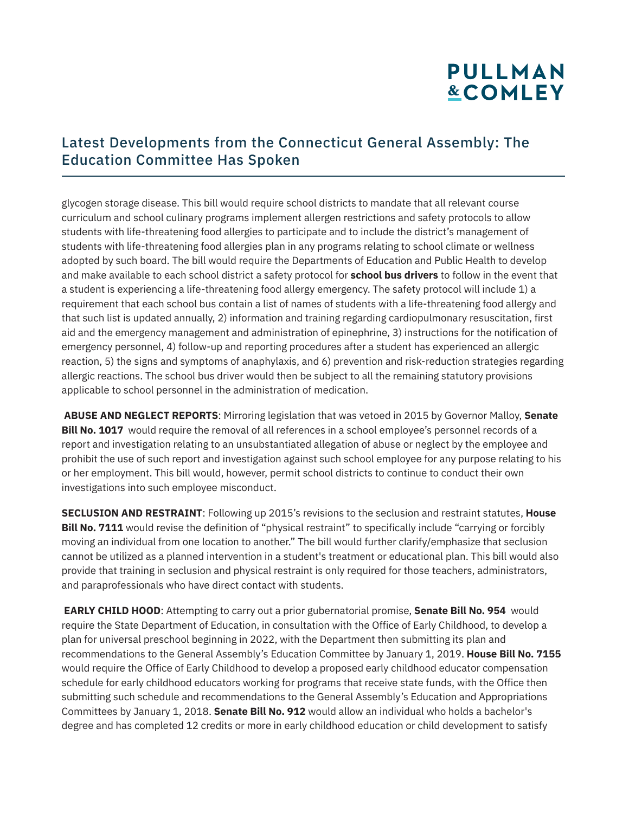#### Latest Developments from the Connecticut General Assembly: The Education Committee Has Spoken

glycogen storage disease. This bill would require school districts to mandate that all relevant course curriculum and school culinary programs implement allergen restrictions and safety protocols to allow students with life-threatening food allergies to participate and to include the district's management of students with life-threatening food allergies plan in any programs relating to school climate or wellness adopted by such board. The bill would require the Departments of Education and Public Health to develop and make available to each school district a safety protocol for **school bus drivers** to follow in the event that a student is experiencing a life-threatening food allergy emergency. The safety protocol will include 1) a requirement that each school bus contain a list of names of students with a life-threatening food allergy and that such list is updated annually, 2) information and training regarding cardiopulmonary resuscitation, first aid and the emergency management and administration of epinephrine, 3) instructions for the notification of emergency personnel, 4) follow-up and reporting procedures after a student has experienced an allergic reaction, 5) the signs and symptoms of anaphylaxis, and 6) prevention and risk-reduction strategies regarding allergic reactions. The school bus driver would then be subject to all the remaining statutory provisions applicable to school personnel in the administration of medication.

 **ABUSE AND NEGLECT REPORTS**: Mirroring legislation that was vetoed in 2015 by Governor Malloy, **Senate Bill No. 1017** would require the removal of all references in a school employee's personnel records of a report and investigation relating to an unsubstantiated allegation of abuse or neglect by the employee and prohibit the use of such report and investigation against such school employee for any purpose relating to his or her employment. This bill would, however, permit school districts to continue to conduct their own investigations into such employee misconduct.

**SECLUSION AND RESTRAINT**: Following up 2015's revisions to the seclusion and restraint statutes, **House Bill No. 7111** would revise the definition of "physical restraint" to specifically include "carrying or forcibly moving an individual from one location to another." The bill would further clarify/emphasize that seclusion cannot be utilized as a planned intervention in a student's treatment or educational plan. This bill would also provide that training in seclusion and physical restraint is only required for those teachers, administrators, and paraprofessionals who have direct contact with students.

 **EARLY CHILD HOOD**: Attempting to carry out a prior gubernatorial promise, **Senate Bill No. 954** would require the State Department of Education, in consultation with the Office of Early Childhood, to develop a plan for universal preschool beginning in 2022, with the Department then submitting its plan and recommendations to the General Assembly's Education Committee by January 1, 2019. **House Bill No. 7155** would require the Office of Early Childhood to develop a proposed early childhood educator compensation schedule for early childhood educators working for programs that receive state funds, with the Office then submitting such schedule and recommendations to the General Assembly's Education and Appropriations Committees by January 1, 2018. **Senate Bill No. 912** would allow an individual who holds a bachelor's degree and has completed 12 credits or more in early childhood education or child development to satisfy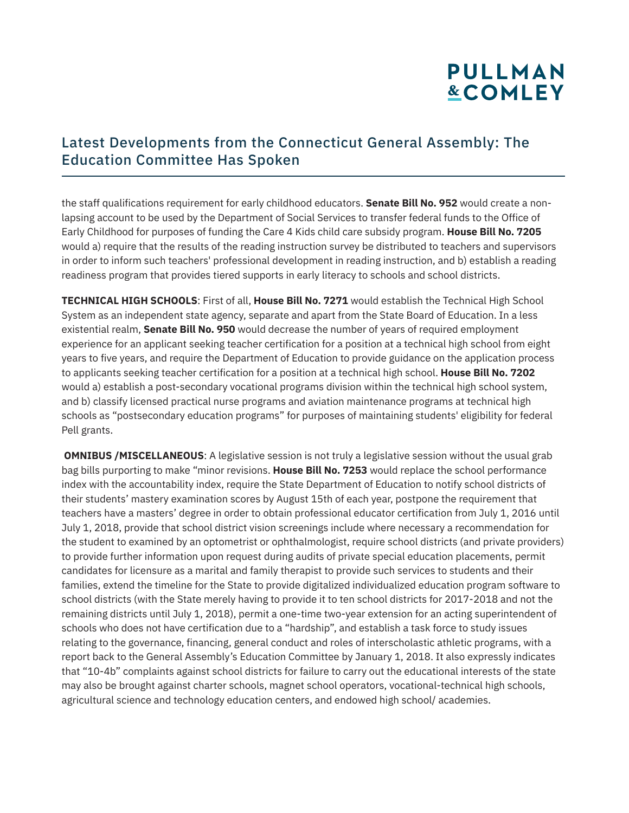#### Latest Developments from the Connecticut General Assembly: The Education Committee Has Spoken

the staff qualifications requirement for early childhood educators. **Senate Bill No. 952** would create a nonlapsing account to be used by the Department of Social Services to transfer federal funds to the Office of Early Childhood for purposes of funding the Care 4 Kids child care subsidy program. **House Bill No. 7205** would a) require that the results of the reading instruction survey be distributed to teachers and supervisors in order to inform such teachers' professional development in reading instruction, and b) establish a reading readiness program that provides tiered supports in early literacy to schools and school districts.

**TECHNICAL HIGH SCHOOLS**: First of all, **House Bill No. 7271** would establish the Technical High School System as an independent state agency, separate and apart from the State Board of Education. In a less existential realm, **Senate Bill No. 950** would decrease the number of years of required employment experience for an applicant seeking teacher certification for a position at a technical high school from eight years to five years, and require the Department of Education to provide guidance on the application process to applicants seeking teacher certification for a position at a technical high school. **House Bill No. 7202** would a) establish a post-secondary vocational programs division within the technical high school system, and b) classify licensed practical nurse programs and aviation maintenance programs at technical high schools as "postsecondary education programs" for purposes of maintaining students' eligibility for federal Pell grants.

**OMNIBUS /MISCELLANEOUS:** A legislative session is not truly a legislative session without the usual grab bag bills purporting to make "minor revisions. **House Bill No. 7253** would replace the school performance index with the accountability index, require the State Department of Education to notify school districts of their students' mastery examination scores by August 15th of each year, postpone the requirement that teachers have a masters' degree in order to obtain professional educator certification from July 1, 2016 until July 1, 2018, provide that school district vision screenings include where necessary a recommendation for the student to examined by an optometrist or ophthalmologist, require school districts (and private providers) to provide further information upon request during audits of private special education placements, permit candidates for licensure as a marital and family therapist to provide such services to students and their families, extend the timeline for the State to provide digitalized individualized education program software to school districts (with the State merely having to provide it to ten school districts for 2017-2018 and not the remaining districts until July 1, 2018), permit a one-time two-year extension for an acting superintendent of schools who does not have certification due to a "hardship", and establish a task force to study issues relating to the governance, financing, general conduct and roles of interscholastic athletic programs, with a report back to the General Assembly's Education Committee by January 1, 2018. It also expressly indicates that "10-4b" complaints against school districts for failure to carry out the educational interests of the state may also be brought against charter schools, magnet school operators, vocational-technical high schools, agricultural science and technology education centers, and endowed high school/ academies.